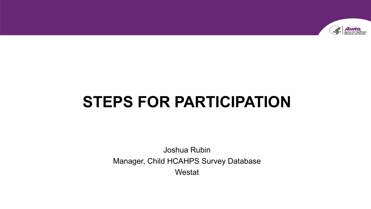

# **STEPS FOR PARTICIPATION**

Joshua Rubin Manager, Child HCAHPS Survey Database Westat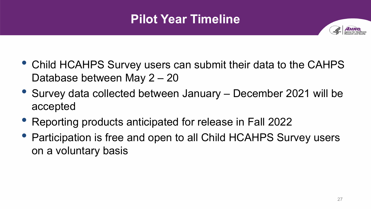# **Pilot Year Timeline**



- Child HCAHPS Survey users can submit their data to the CAHPS Database between May 2 – 20
- Survey data collected between January December 2021 will be accepted
- Reporting products anticipated for release in Fall 2022
- Participation is free and open to all Child HCAHPS Survey users on a voluntary basis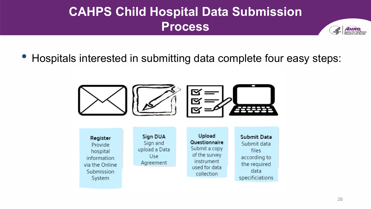### **CAHPS Child Hospital Data Submission Process**



• Hospitals interested in submitting data complete four easy steps:





Provide hospital information via the Online Submission System

**Sign DUA**  Sign and upload a Data Use Agreement

**Upload Questionnaire**  Submit a copy of the survey instrument used for data collection

**Submit Data**  Submit data files according to the required data specificiations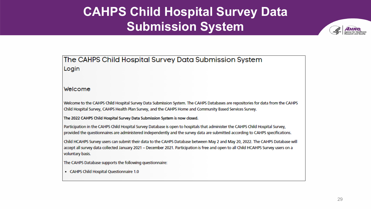### **CAHPS Child Hospital Survey Data Submission System**



The CAHPS Child Hospital Survey Data Submission System Login

#### **Welcome**

Welcome to the CAHPS Child Hospital Survey Data Submission System. The CAHPS Databases are repositories **for** data from the CAHPS Child Hospital Survey, CAHPS Health Plan Survey, and the CAHPS Home and Community Based Services Survey.

The 2022 CAHPS Child Hospital Survey Data Submission System is now closed

Participation in the CAHPS Child Hospital Survey Database is open to hospitals that administer the CAHPS Child Hospital Survey, provided the questionnaires are administered independently and the survey data are submitted according to CAHPS specifications.

Child HCAHPS Survey users, can submit their data to the CAHPS Database between May 2 and May 20, 2022. The CAHPS Database will accept all survey data collected January 2021 - December 2021. Participation is free and open to all Child HCAHPS Survey users on a voluntary basis.

The CAHPS Database supports the following questionnaire:

• CAHPS Child Hospital Questionnaire 1.0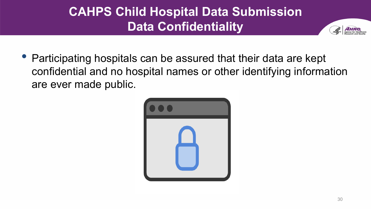# **CAHPS Child Hospital Data Submission Data Confidentiality**



• Participating hospitals can be assured that their data are kept confidential and no hospital names or other identifying information are ever made public.